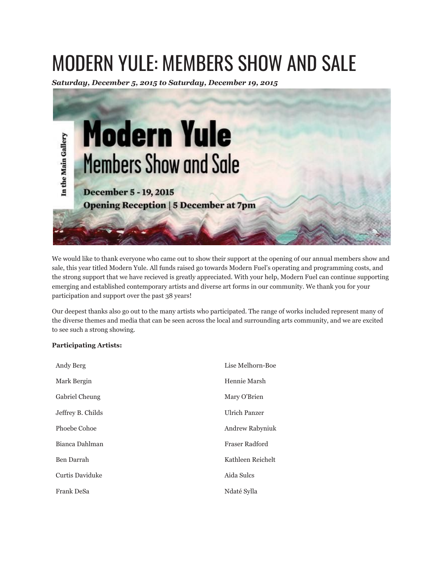## MODERN YULE: MEMBERS SHOW AND SALE

*Saturday, December 5, 2015 to Saturday, December 19, 2015*



We would like to thank everyone who came out to show their support at the opening of our annual members show and sale, this year titled Modern Yule. All funds raised go towards Modern Fuel's operating and programming costs, and the strong support that we have recieved is greatly appreciated. With your help, Modern Fuel can continue supporting emerging and established contemporary artists and diverse art forms in our community. We thank you for your participation and support over the past 38 years!

Our deepest thanks also go out to the many artists who participated. The range of works included represent many of the diverse themes and media that can be seen across the local and surrounding arts community, and we are excited to see such a strong showing.

## **Participating Artists:**

| Andy Berg         | Lise Melhorn-Boe       |
|-------------------|------------------------|
| Mark Bergin       | Hennie Marsh           |
| Gabriel Cheung    | Mary O'Brien           |
| Jeffrey B. Childs | <b>Ulrich Panzer</b>   |
| Phoebe Cohoe      | <b>Andrew Rabyniuk</b> |
| Bianca Dahlman    | Fraser Radford         |
| Ben Darrah        | Kathleen Reichelt      |
| Curtis Daviduke   | Aida Sulcs             |
| Frank DeSa        | Ndaté Sylla            |